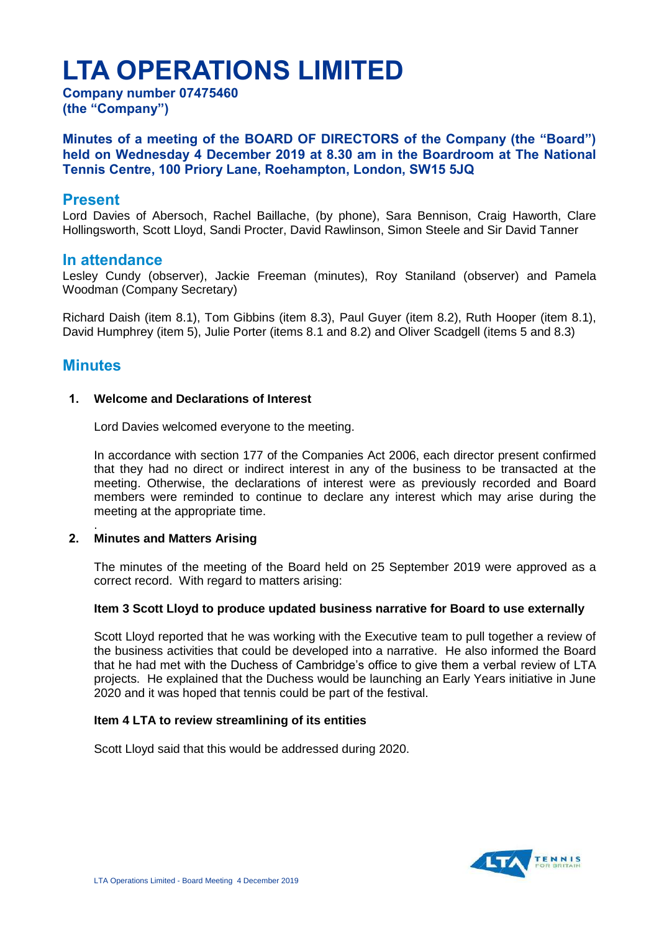# **LTA OPERATIONS LIMITED**

**Company number 07475460 (the "Company")**

**Minutes of a meeting of the BOARD OF DIRECTORS of the Company (the "Board") held on Wednesday 4 December 2019 at 8.30 am in the Boardroom at The National Tennis Centre, 100 Priory Lane, Roehampton, London, SW15 5JQ** 

# **Present**

Lord Davies of Abersoch, Rachel Baillache, (by phone), Sara Bennison, Craig Haworth, Clare Hollingsworth, Scott Lloyd, Sandi Procter, David Rawlinson, Simon Steele and Sir David Tanner

# **In attendance**

Lesley Cundy (observer), Jackie Freeman (minutes), Roy Staniland (observer) and Pamela Woodman (Company Secretary)

Richard Daish (item 8.1), Tom Gibbins (item 8.3), Paul Guyer (item 8.2), Ruth Hooper (item 8.1), David Humphrey (item 5), Julie Porter (items 8.1 and 8.2) and Oliver Scadgell (items 5 and 8.3)

# **Minutes**

# **1. Welcome and Declarations of Interest**

Lord Davies welcomed everyone to the meeting.

In accordance with section 177 of the Companies Act 2006, each director present confirmed that they had no direct or indirect interest in any of the business to be transacted at the meeting. Otherwise, the declarations of interest were as previously recorded and Board members were reminded to continue to declare any interest which may arise during the meeting at the appropriate time.

#### . **2. Minutes and Matters Arising**

The minutes of the meeting of the Board held on 25 September 2019 were approved as a correct record. With regard to matters arising:

# **Item 3 Scott Lloyd to produce updated business narrative for Board to use externally**

Scott Lloyd reported that he was working with the Executive team to pull together a review of the business activities that could be developed into a narrative. He also informed the Board that he had met with the Duchess of Cambridge's office to give them a verbal review of LTA projects. He explained that the Duchess would be launching an Early Years initiative in June 2020 and it was hoped that tennis could be part of the festival.

# **Item 4 LTA to review streamlining of its entities**

Scott Lloyd said that this would be addressed during 2020.

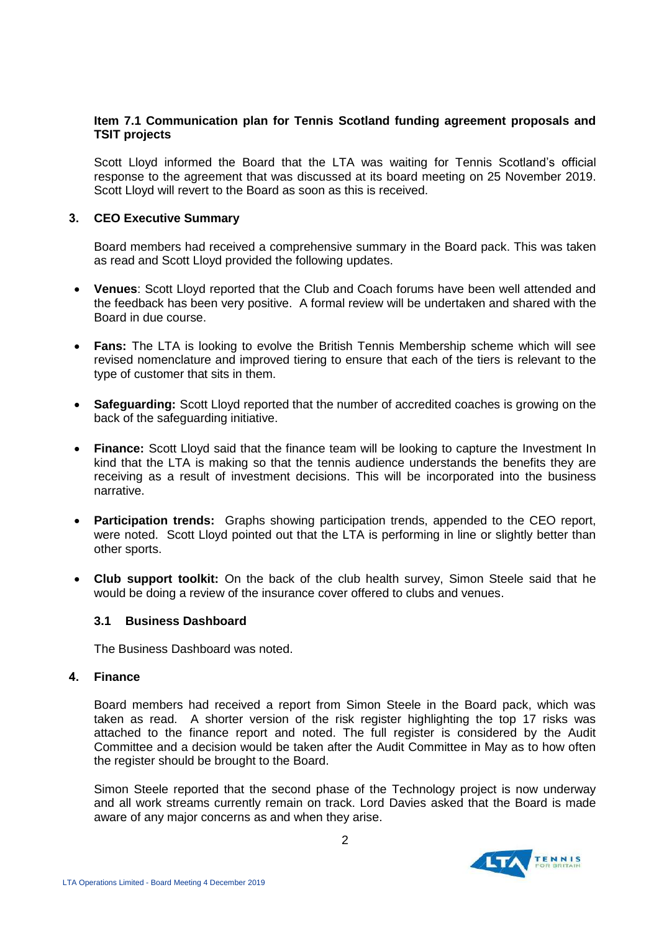# **Item 7.1 Communication plan for Tennis Scotland funding agreement proposals and TSIT projects**

Scott Lloyd informed the Board that the LTA was waiting for Tennis Scotland's official response to the agreement that was discussed at its board meeting on 25 November 2019. Scott Lloyd will revert to the Board as soon as this is received.

## **3. CEO Executive Summary**

Board members had received a comprehensive summary in the Board pack. This was taken as read and Scott Lloyd provided the following updates.

- **Venues**: Scott Lloyd reported that the Club and Coach forums have been well attended and the feedback has been very positive. A formal review will be undertaken and shared with the Board in due course.
- **Fans:** The LTA is looking to evolve the British Tennis Membership scheme which will see revised nomenclature and improved tiering to ensure that each of the tiers is relevant to the type of customer that sits in them.
- **Safeguarding:** Scott Lloyd reported that the number of accredited coaches is growing on the back of the safeguarding initiative.
- **Finance:** Scott Lloyd said that the finance team will be looking to capture the Investment In kind that the LTA is making so that the tennis audience understands the benefits they are receiving as a result of investment decisions. This will be incorporated into the business narrative.
- **Participation trends:** Graphs showing participation trends, appended to the CEO report, were noted. Scott Lloyd pointed out that the LTA is performing in line or slightly better than other sports.
- **Club support toolkit:** On the back of the club health survey, Simon Steele said that he would be doing a review of the insurance cover offered to clubs and venues.

## **3.1 Business Dashboard**

The Business Dashboard was noted.

# **4. Finance**

Board members had received a report from Simon Steele in the Board pack, which was taken as read. A shorter version of the risk register highlighting the top 17 risks was attached to the finance report and noted. The full register is considered by the Audit Committee and a decision would be taken after the Audit Committee in May as to how often the register should be brought to the Board.

Simon Steele reported that the second phase of the Technology project is now underway and all work streams currently remain on track. Lord Davies asked that the Board is made aware of any major concerns as and when they arise.

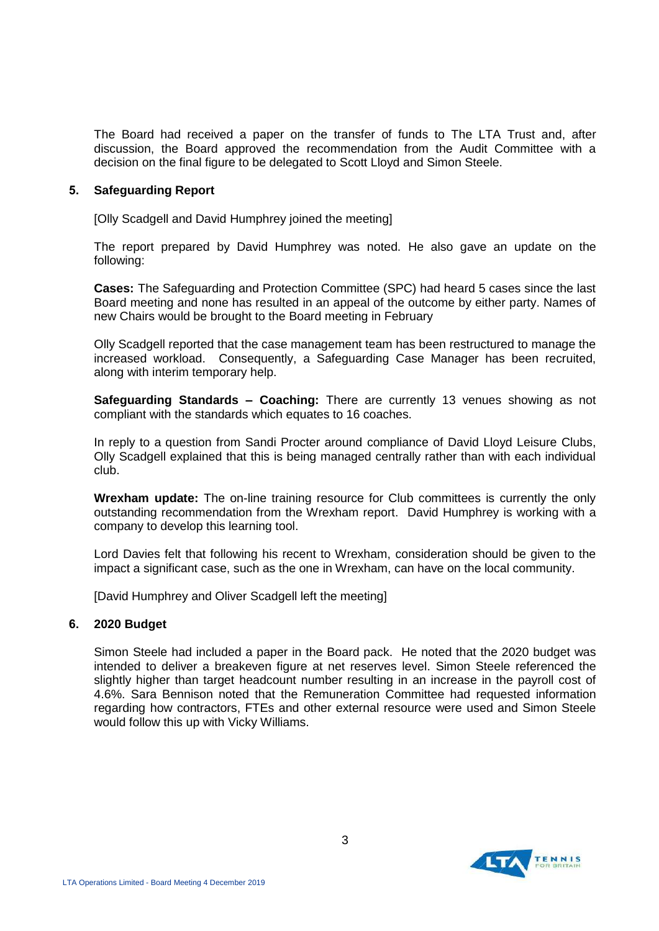The Board had received a paper on the transfer of funds to The LTA Trust and, after discussion, the Board approved the recommendation from the Audit Committee with a decision on the final figure to be delegated to Scott Lloyd and Simon Steele.

## **5. Safeguarding Report**

[Olly Scadgell and David Humphrey joined the meeting]

The report prepared by David Humphrey was noted. He also gave an update on the following:

**Cases:** The Safeguarding and Protection Committee (SPC) had heard 5 cases since the last Board meeting and none has resulted in an appeal of the outcome by either party. Names of new Chairs would be brought to the Board meeting in February

Olly Scadgell reported that the case management team has been restructured to manage the increased workload. Consequently, a Safeguarding Case Manager has been recruited, along with interim temporary help.

**Safeguarding Standards – Coaching:** There are currently 13 venues showing as not compliant with the standards which equates to 16 coaches.

In reply to a question from Sandi Procter around compliance of David Lloyd Leisure Clubs, Olly Scadgell explained that this is being managed centrally rather than with each individual club.

**Wrexham update:** The on-line training resource for Club committees is currently the only outstanding recommendation from the Wrexham report. David Humphrey is working with a company to develop this learning tool.

Lord Davies felt that following his recent to Wrexham, consideration should be given to the impact a significant case, such as the one in Wrexham, can have on the local community.

[David Humphrey and Oliver Scadgell left the meeting]

# **6. 2020 Budget**

Simon Steele had included a paper in the Board pack. He noted that the 2020 budget was intended to deliver a breakeven figure at net reserves level. Simon Steele referenced the slightly higher than target headcount number resulting in an increase in the payroll cost of 4.6%. Sara Bennison noted that the Remuneration Committee had requested information regarding how contractors, FTEs and other external resource were used and Simon Steele would follow this up with Vicky Williams.

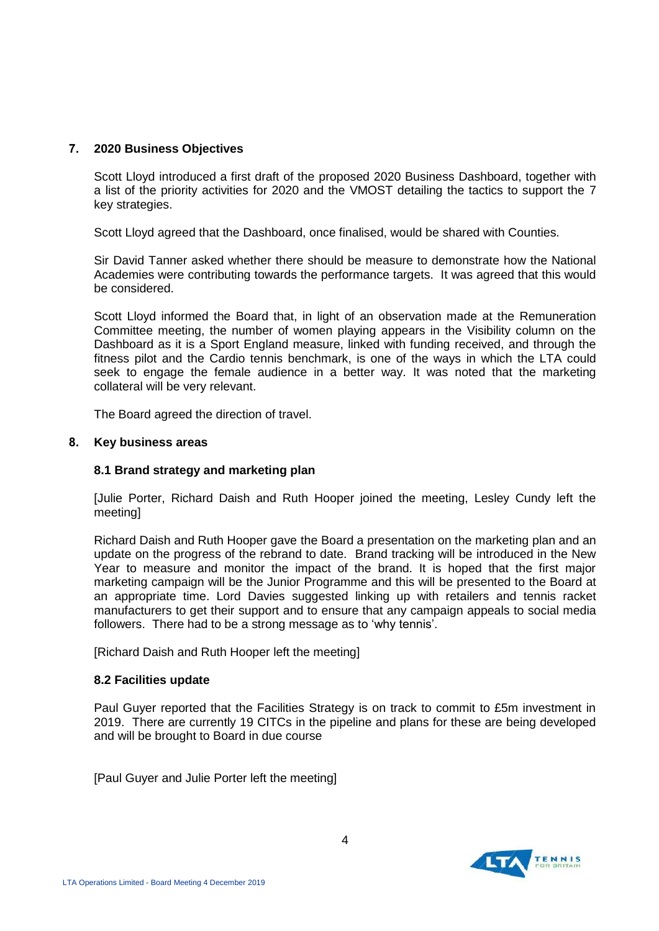# **7. 2020 Business Objectives**

Scott Lloyd introduced a first draft of the proposed 2020 Business Dashboard, together with a list of the priority activities for 2020 and the VMOST detailing the tactics to support the 7 key strategies.

Scott Lloyd agreed that the Dashboard, once finalised, would be shared with Counties.

Sir David Tanner asked whether there should be measure to demonstrate how the National Academies were contributing towards the performance targets. It was agreed that this would be considered.

Scott Lloyd informed the Board that, in light of an observation made at the Remuneration Committee meeting, the number of women playing appears in the Visibility column on the Dashboard as it is a Sport England measure, linked with funding received, and through the fitness pilot and the Cardio tennis benchmark, is one of the ways in which the LTA could seek to engage the female audience in a better way. It was noted that the marketing collateral will be very relevant.

The Board agreed the direction of travel.

## **8. Key business areas**

# **8.1 Brand strategy and marketing plan**

[Julie Porter, Richard Daish and Ruth Hooper joined the meeting, Lesley Cundy left the meeting]

Richard Daish and Ruth Hooper gave the Board a presentation on the marketing plan and an update on the progress of the rebrand to date. Brand tracking will be introduced in the New Year to measure and monitor the impact of the brand. It is hoped that the first major marketing campaign will be the Junior Programme and this will be presented to the Board at an appropriate time. Lord Davies suggested linking up with retailers and tennis racket manufacturers to get their support and to ensure that any campaign appeals to social media followers. There had to be a strong message as to 'why tennis'.

[Richard Daish and Ruth Hooper left the meeting]

## **8.2 Facilities update**

Paul Guyer reported that the Facilities Strategy is on track to commit to £5m investment in 2019. There are currently 19 CITCs in the pipeline and plans for these are being developed and will be brought to Board in due course

[Paul Guyer and Julie Porter left the meeting]

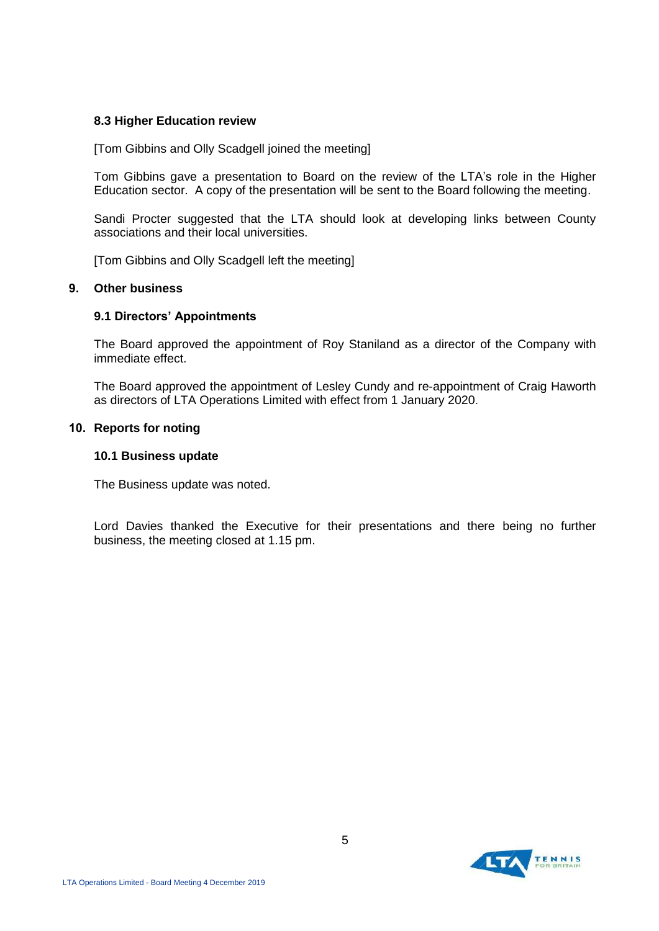## **8.3 Higher Education review**

[Tom Gibbins and Olly Scadgell joined the meeting]

Tom Gibbins gave a presentation to Board on the review of the LTA's role in the Higher Education sector. A copy of the presentation will be sent to the Board following the meeting.

Sandi Procter suggested that the LTA should look at developing links between County associations and their local universities.

[Tom Gibbins and Olly Scadgell left the meeting]

## **9. Other business**

## **9.1 Directors' Appointments**

The Board approved the appointment of Roy Staniland as a director of the Company with immediate effect.

The Board approved the appointment of Lesley Cundy and re-appointment of Craig Haworth as directors of LTA Operations Limited with effect from 1 January 2020.

## **10. Reports for noting**

## **10.1 Business update**

The Business update was noted.

Lord Davies thanked the Executive for their presentations and there being no further business, the meeting closed at 1.15 pm.

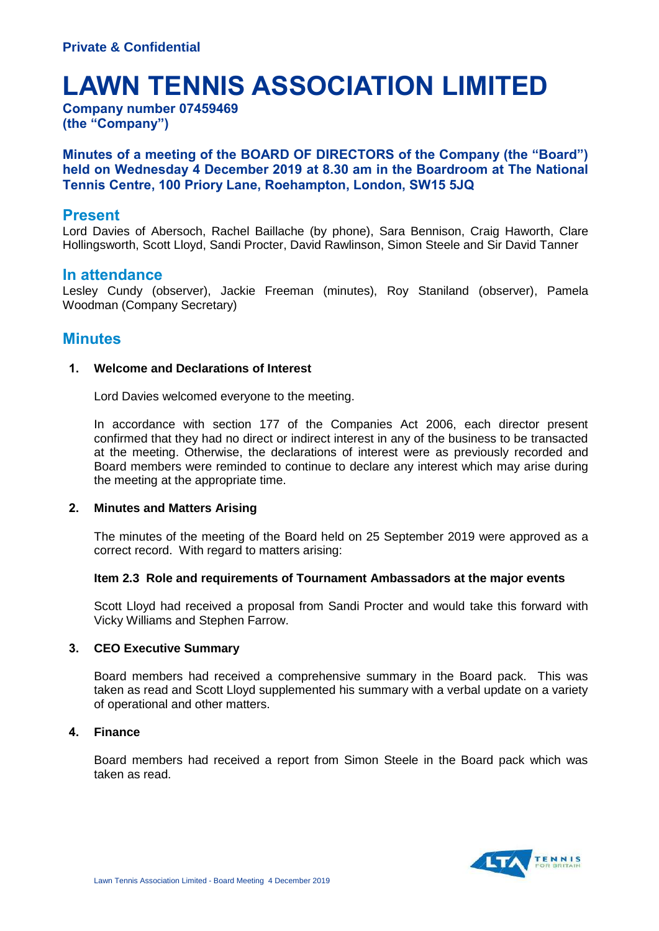# **LAWN TENNIS ASSOCIATION LIMITED**

**Company number 07459469 (the "Company")**

# **Minutes of a meeting of the BOARD OF DIRECTORS of the Company (the "Board") held on Wednesday 4 December 2019 at 8.30 am in the Boardroom at The National Tennis Centre, 100 Priory Lane, Roehampton, London, SW15 5JQ**

# **Present**

Lord Davies of Abersoch, Rachel Baillache (by phone), Sara Bennison, Craig Haworth, Clare Hollingsworth, Scott Lloyd, Sandi Procter, David Rawlinson, Simon Steele and Sir David Tanner

# **In attendance**

Lesley Cundy (observer), Jackie Freeman (minutes), Roy Staniland (observer), Pamela Woodman (Company Secretary)

# **Minutes**

## **1. Welcome and Declarations of Interest**

Lord Davies welcomed everyone to the meeting.

In accordance with section 177 of the Companies Act 2006, each director present confirmed that they had no direct or indirect interest in any of the business to be transacted at the meeting. Otherwise, the declarations of interest were as previously recorded and Board members were reminded to continue to declare any interest which may arise during the meeting at the appropriate time.

# **2. Minutes and Matters Arising**

The minutes of the meeting of the Board held on 25 September 2019 were approved as a correct record. With regard to matters arising:

## **Item 2.3 Role and requirements of Tournament Ambassadors at the major events**

Scott Lloyd had received a proposal from Sandi Procter and would take this forward with Vicky Williams and Stephen Farrow.

## **3. CEO Executive Summary**

Board members had received a comprehensive summary in the Board pack. This was taken as read and Scott Lloyd supplemented his summary with a verbal update on a variety of operational and other matters.

## **4. Finance**

Board members had received a report from Simon Steele in the Board pack which was taken as read.

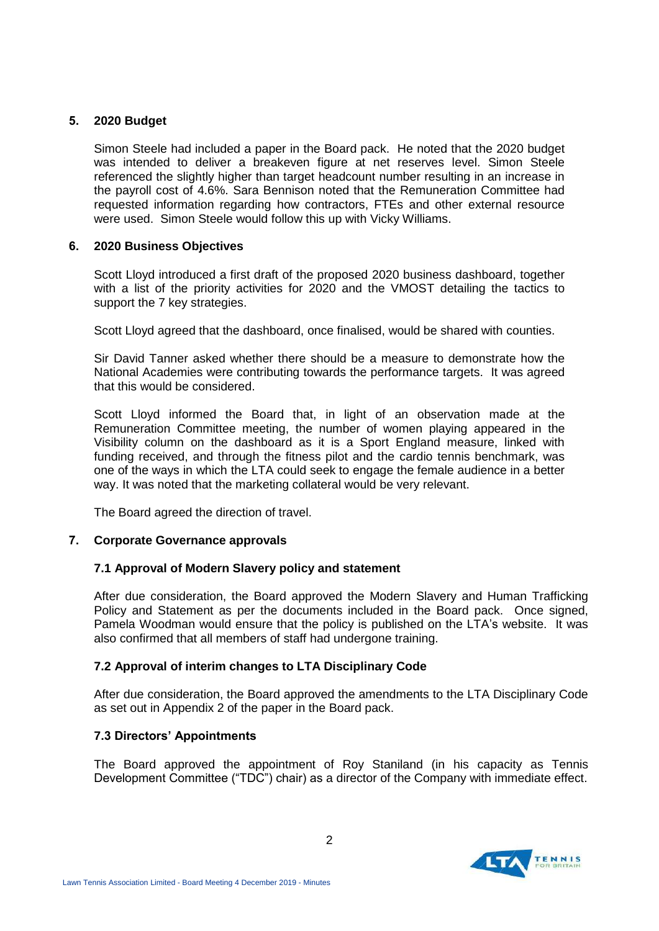# **5. 2020 Budget**

Simon Steele had included a paper in the Board pack. He noted that the 2020 budget was intended to deliver a breakeven figure at net reserves level. Simon Steele referenced the slightly higher than target headcount number resulting in an increase in the payroll cost of 4.6%. Sara Bennison noted that the Remuneration Committee had requested information regarding how contractors, FTEs and other external resource were used. Simon Steele would follow this up with Vicky Williams.

# **6. 2020 Business Objectives**

Scott Lloyd introduced a first draft of the proposed 2020 business dashboard, together with a list of the priority activities for 2020 and the VMOST detailing the tactics to support the 7 key strategies.

Scott Lloyd agreed that the dashboard, once finalised, would be shared with counties.

Sir David Tanner asked whether there should be a measure to demonstrate how the National Academies were contributing towards the performance targets. It was agreed that this would be considered.

Scott Lloyd informed the Board that, in light of an observation made at the Remuneration Committee meeting, the number of women playing appeared in the Visibility column on the dashboard as it is a Sport England measure, linked with funding received, and through the fitness pilot and the cardio tennis benchmark, was one of the ways in which the LTA could seek to engage the female audience in a better way. It was noted that the marketing collateral would be very relevant.

The Board agreed the direction of travel.

# **7. Corporate Governance approvals**

# **7.1 Approval of Modern Slavery policy and statement**

After due consideration, the Board approved the Modern Slavery and Human Trafficking Policy and Statement as per the documents included in the Board pack. Once signed, Pamela Woodman would ensure that the policy is published on the LTA's website. It was also confirmed that all members of staff had undergone training.

# **7.2 Approval of interim changes to LTA Disciplinary Code**

After due consideration, the Board approved the amendments to the LTA Disciplinary Code as set out in Appendix 2 of the paper in the Board pack.

# **7.3 Directors' Appointments**

The Board approved the appointment of Roy Staniland (in his capacity as Tennis Development Committee ("TDC") chair) as a director of the Company with immediate effect.

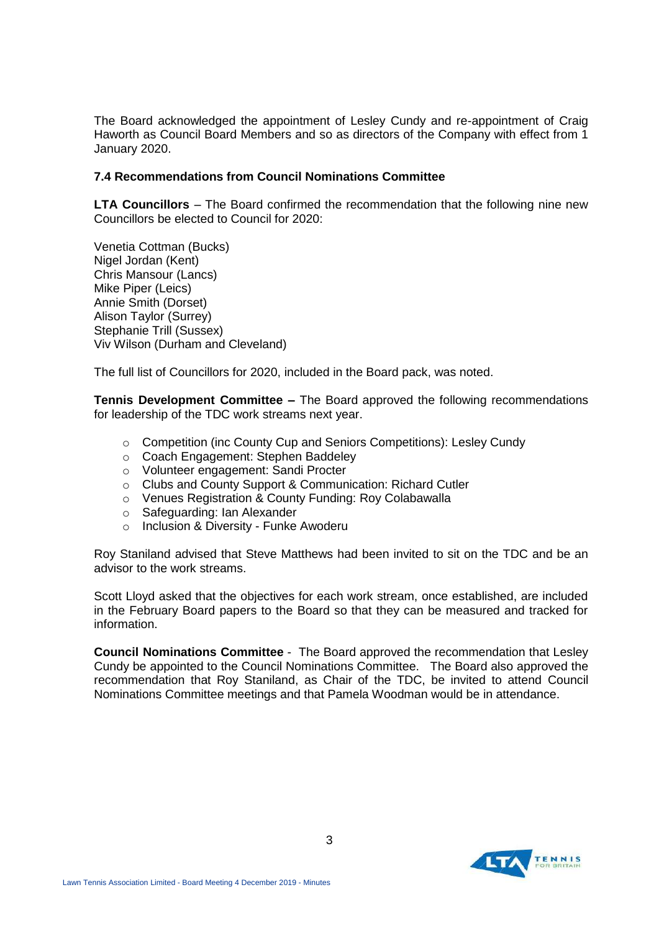The Board acknowledged the appointment of Lesley Cundy and re-appointment of Craig Haworth as Council Board Members and so as directors of the Company with effect from 1 January 2020.

## **7.4 Recommendations from Council Nominations Committee**

**LTA Councillors** – The Board confirmed the recommendation that the following nine new Councillors be elected to Council for 2020:

Venetia Cottman (Bucks) Nigel Jordan (Kent) Chris Mansour (Lancs) Mike Piper (Leics) Annie Smith (Dorset) Alison Taylor (Surrey) Stephanie Trill (Sussex) Viv Wilson (Durham and Cleveland)

The full list of Councillors for 2020, included in the Board pack, was noted.

**Tennis Development Committee –** The Board approved the following recommendations for leadership of the TDC work streams next year.

- $\circ$  Competition (inc County Cup and Seniors Competitions): Lesley Cundy
- o Coach Engagement: Stephen Baddeley
- o Volunteer engagement: Sandi Procter
- o Clubs and County Support & Communication: Richard Cutler
- o Venues Registration & County Funding: Roy Colabawalla
- o Safeguarding: Ian Alexander
- o Inclusion & Diversity Funke Awoderu

Roy Staniland advised that Steve Matthews had been invited to sit on the TDC and be an advisor to the work streams.

Scott Lloyd asked that the objectives for each work stream, once established, are included in the February Board papers to the Board so that they can be measured and tracked for information.

**Council Nominations Committee** - The Board approved the recommendation that Lesley Cundy be appointed to the Council Nominations Committee. The Board also approved the recommendation that Roy Staniland, as Chair of the TDC, be invited to attend Council Nominations Committee meetings and that Pamela Woodman would be in attendance.